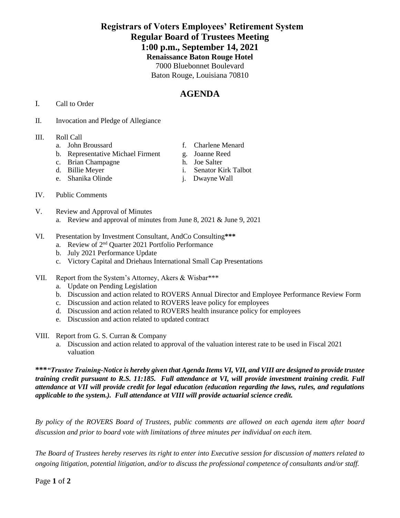## **Registrars of Voters Employees' Retirement System Regular Board of Trustees Meeting 1:00 p.m., September 14, 2021 Renaissance Baton Rouge Hotel** 7000 Bluebonnet Boulevard Baton Rouge, Louisiana 70810

# **AGENDA**

### I. Call to Order

II. Invocation and Pledge of Allegiance

### III. Roll Call

- 
- b. Representative Michael Firment g. Joanne Reed<br>c. Brian Champagne h. Joe Salter
- c. Brian Champagne
- 
- e. Shanika Olinde j. Dwayne Wall
- a. John Broussard f. Charlene Menard
	-
	-
- d. Billie Meyer i. Senator Kirk Talbot
	-

- IV. Public Comments
- V. Review and Approval of Minutes
	- a. Review and approval of minutes from June 8, 2021 & June 9, 2021
- VI. Presentation by Investment Consultant, AndCo Consulting**\*\*\***
	- a. Review of 2<sup>nd</sup> Quarter 2021 Portfolio Performance
	- b. July 2021 Performance Update
	- c. Victory Capital and Driehaus International Small Cap Presentations
- VII. Report from the System's Attorney, Akers & Wisbar\*\*\*
	- a. Update on Pending Legislation
	- b. Discussion and action related to ROVERS Annual Director and Employee Performance Review Form
	- c. Discussion and action related to ROVERS leave policy for employees
	- d. Discussion and action related to ROVERS health insurance policy for employees
	- e. Discussion and action related to updated contract
- VIII. Report from G. S. Curran & Company
	- a. Discussion and action related to approval of the valuation interest rate to be used in Fiscal 2021 valuation

**\*\*\****"Trustee Training-Notice is hereby given that Agenda Items VI, VII, and VIII are designed to provide trustee training credit pursuant to R.S. 11:185. Full attendance at VI, will provide investment training credit. Full attendance at VII will provide credit for legal education (education regarding the laws, rules, and regulations applicable to the system.). Full attendance at VIII will provide actuarial science credit.* 

*By policy of the ROVERS Board of Trustees, public comments are allowed on each agenda item after board discussion and prior to board vote with limitations of three minutes per individual on each item.*

*The Board of Trustees hereby reserves its right to enter into Executive session for discussion of matters related to ongoing litigation, potential litigation, and/or to discuss the professional competence of consultants and/or staff.*

Page **1** of **2**

- 
-